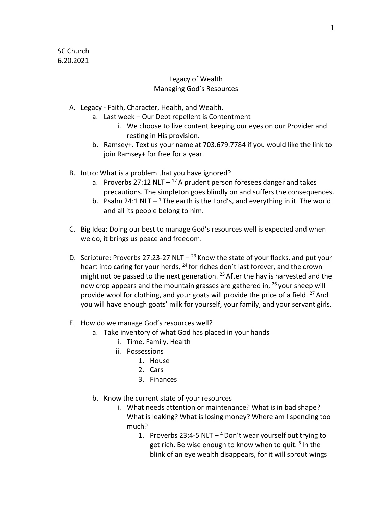## Legacy of Wealth Managing God's Resources

- A. Legacy Faith, Character, Health, and Wealth.
	- a. Last week Our Debt repellent is Contentment
		- i. We choose to live content keeping our eyes on our Provider and resting in His provision.
	- b. Ramsey+. Text us your name at 703.679.7784 if you would like the link to join Ramsey+ for free for a year.
- B. Intro: What is a problem that you have ignored?
	- a. Proverbs 27:12 NLT  $-$  <sup>12</sup> A prudent person foresees danger and takes precautions. The simpleton goes blindly on and suffers the consequences.
	- b. Psalm 24:1 NLT  $1$  The earth is the Lord's, and everything in it. The world and all its people belong to him.
- C. Big Idea: Doing our best to manage God's resources well is expected and when we do, it brings us peace and freedom.
- D. Scripture: Proverbs 27:23-27 NLT  $-$  <sup>23</sup> Know the state of your flocks, and put your heart into caring for your herds, <sup>24</sup> for riches don't last forever, and the crown might not be passed to the next generation.  $25$  After the hay is harvested and the new crop appears and the mountain grasses are gathered in,  $^{26}$  your sheep will provide wool for clothing, and your goats will provide the price of a field.  $27$  And you will have enough goats' milk for yourself, your family, and your servant girls.
- E. How do we manage God's resources well?
	- a. Take inventory of what God has placed in your hands
		- i. Time, Family, Health
		- ii. Possessions
			- 1. House
			- 2. Cars
			- 3. Finances
	- b. Know the current state of your resources
		- i. What needs attention or maintenance? What is in bad shape? What is leaking? What is losing money? Where am I spending too much?
			- 1. Proverbs 23:4-5 NLT  $-$ <sup>4</sup> Don't wear yourself out trying to get rich. Be wise enough to know when to quit.<sup>5</sup> In the blink of an eye wealth disappears, for it will sprout wings